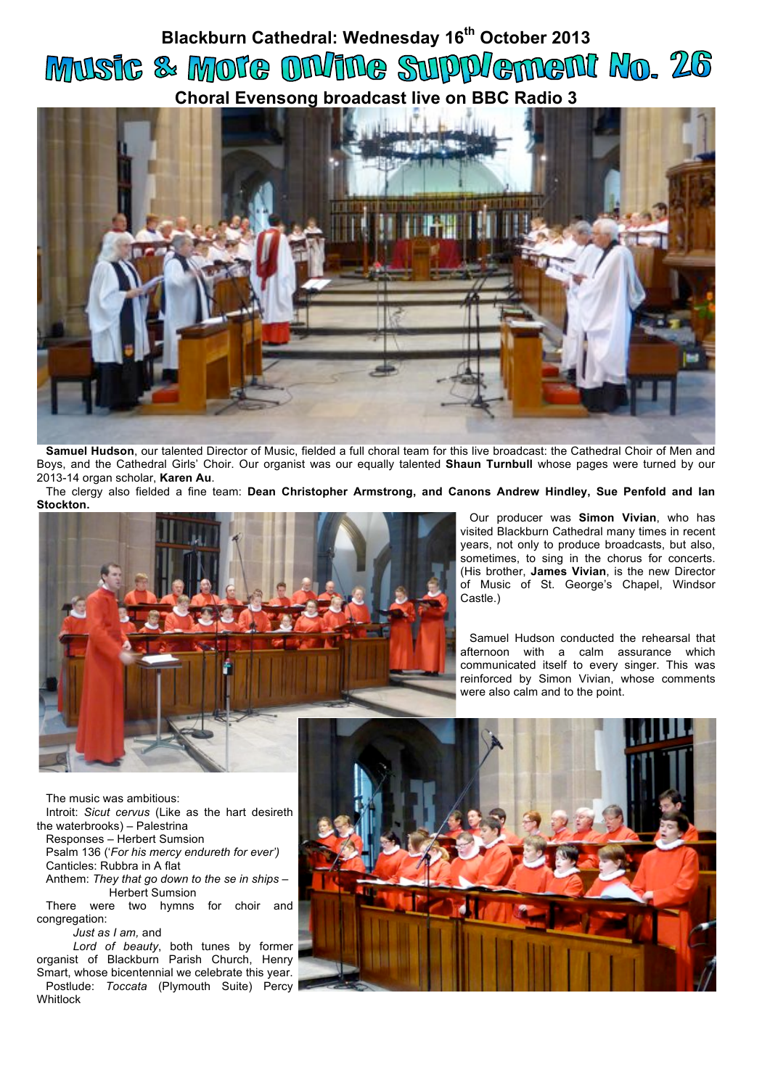## **Blackburn Cathedral: Wednesday 16th October 2013** Music & More On/ine Supplement No. 26 **Choral Evensong broadcast live on BBC Radio 3**



**Samuel Hudson**, our talented Director of Music, fielded a full choral team for this live broadcast: the Cathedral Choir of Men and Boys, and the Cathedral Girls' Choir. Our organist was our equally talented **Shaun Turnbull** whose pages were turned by our 2013-14 organ scholar, **Karen Au**.

The clergy also fielded a fine team: **Dean Christopher Armstrong, and Canons Andrew Hindley, Sue Penfold and Ian Stockton.**



Our producer was **Simon Vivian**, who has visited Blackburn Cathedral many times in recent years, not only to produce broadcasts, but also, sometimes, to sing in the chorus for concerts. (His brother, **James Vivian**, is the new Director of Music of St. George's Chapel, Windsor Castle.)

Samuel Hudson conducted the rehearsal that afternoon with a calm assurance which communicated itself to every singer. This was reinforced by Simon Vivian, whose comments were also calm and to the point.

The music was ambitious:

Introit: *Sicut cervus* (Like as the hart desireth the waterbrooks) – Palestrina

Responses – Herbert Sumsion

Psalm 136 ('*For his mercy endureth for ever')* Canticles: Rubbra in A flat Anthem: *They that go down to the se in ships* –

Herbert Sumsion

There were two hymns for choir and congregation:

*Just as I am,* and

*Lord of beauty*, both tunes by former organist of Blackburn Parish Church, Henry Smart, whose bicentennial we celebrate this year. Postlude: *Toccata* (Plymouth Suite) Percy **Whitlock**